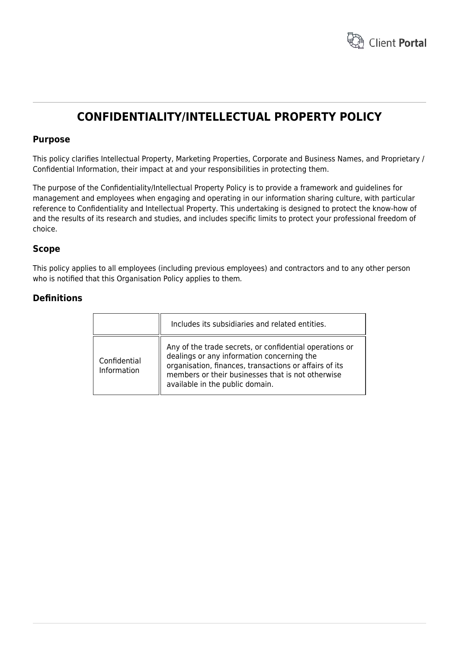

# **CONFIDENTIALITY/INTELLECTUAL PROPERTY POLICY**

## **Purpose**

This policy clarifies Intellectual Property, Marketing Properties, Corporate and Business Names, and Proprietary / Confidential Information, their impact at and your responsibilities in protecting them.

The purpose of the Confidentiality/Intellectual Property Policy is to provide a framework and guidelines for management and employees when engaging and operating in our information sharing culture, with particular reference to Confidentiality and Intellectual Property. This undertaking is designed to protect the know-how of and the results of its research and studies, and includes specific limits to protect your professional freedom of choice.

## **Scope**

This policy applies to all employees (including previous employees) and contractors and to any other person who is notified that this Organisation Policy applies to them.

# **Definitions**

|                             | Includes its subsidiaries and related entities.                                                                                                                                                                                                         |
|-----------------------------|---------------------------------------------------------------------------------------------------------------------------------------------------------------------------------------------------------------------------------------------------------|
| Confidential<br>Information | Any of the trade secrets, or confidential operations or<br>dealings or any information concerning the<br>organisation, finances, transactions or affairs of its<br>members or their businesses that is not otherwise<br>available in the public domain. |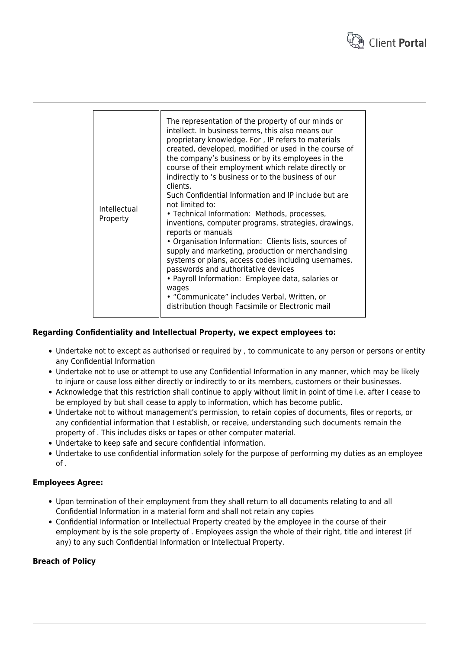

| Intellectual<br>Property | The representation of the property of our minds or<br>intellect. In business terms, this also means our<br>proprietary knowledge. For, IP refers to materials<br>created, developed, modified or used in the course of<br>the company's business or by its employees in the<br>course of their employment which relate directly or<br>indirectly to 's business or to the business of our<br>clients.<br>Such Confidential Information and IP include but are<br>not limited to:<br>• Technical Information: Methods, processes,<br>inventions, computer programs, strategies, drawings,<br>reports or manuals<br>• Organisation Information: Clients lists, sources of<br>supply and marketing, production or merchandising<br>systems or plans, access codes including usernames,<br>passwords and authoritative devices<br>• Payroll Information: Employee data, salaries or<br>wages<br>• "Communicate" includes Verbal, Written, or<br>distribution though Facsimile or Electronic mail |
|--------------------------|----------------------------------------------------------------------------------------------------------------------------------------------------------------------------------------------------------------------------------------------------------------------------------------------------------------------------------------------------------------------------------------------------------------------------------------------------------------------------------------------------------------------------------------------------------------------------------------------------------------------------------------------------------------------------------------------------------------------------------------------------------------------------------------------------------------------------------------------------------------------------------------------------------------------------------------------------------------------------------------------|
|--------------------------|----------------------------------------------------------------------------------------------------------------------------------------------------------------------------------------------------------------------------------------------------------------------------------------------------------------------------------------------------------------------------------------------------------------------------------------------------------------------------------------------------------------------------------------------------------------------------------------------------------------------------------------------------------------------------------------------------------------------------------------------------------------------------------------------------------------------------------------------------------------------------------------------------------------------------------------------------------------------------------------------|

#### **Regarding Confidentiality and Intellectual Property, we expect employees to:**

- Undertake not to except as authorised or required by , to communicate to any person or persons or entity any Confidential Information
- Undertake not to use or attempt to use any Confidential Information in any manner, which may be likely to injure or cause loss either directly or indirectly to or its members, customers or their businesses.
- Acknowledge that this restriction shall continue to apply without limit in point of time i.e. after I cease to be employed by but shall cease to apply to information, which has become public.
- Undertake not to without management's permission, to retain copies of documents, files or reports, or any confidential information that I establish, or receive, understanding such documents remain the property of . This includes disks or tapes or other computer material.
- Undertake to keep safe and secure confidential information.
- Undertake to use confidential information solely for the purpose of performing my duties as an employee of .

#### **Employees Agree:**

- Upon termination of their employment from they shall return to all documents relating to and all Confidential Information in a material form and shall not retain any copies
- Confidential Information or Intellectual Property created by the employee in the course of their employment by is the sole property of . Employees assign the whole of their right, title and interest (if any) to any such Confidential Information or Intellectual Property.

## **Breach of Policy**